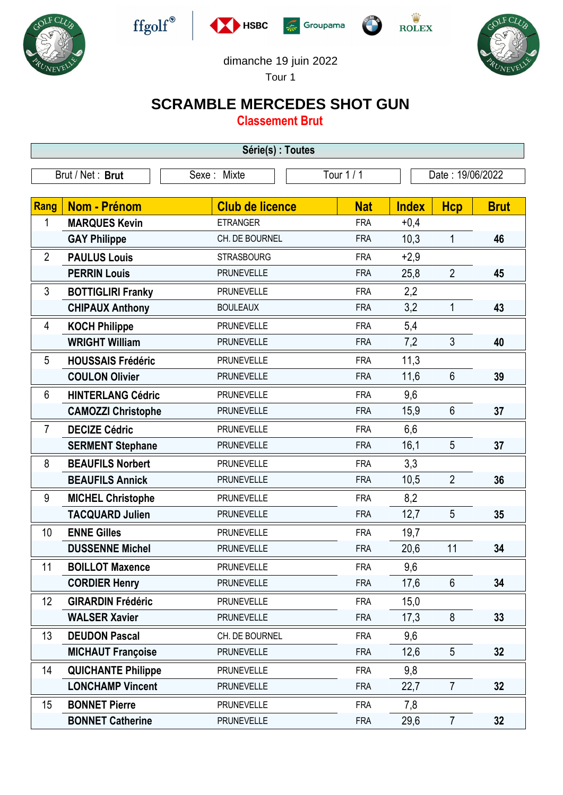











## dimanche 19 juin 2022

Tour 1

## **SCRAMBLE MERCEDES SHOT GUN**

**Classement Brut**

| Série(s) : Toutes |                           |                        |            |              |                  |             |  |  |
|-------------------|---------------------------|------------------------|------------|--------------|------------------|-------------|--|--|
| Brut / Net: Brut  |                           | Sexe: Mixte            | Tour 1/1   |              | Date: 19/06/2022 |             |  |  |
| Rang              | Nom - Prénom              | <b>Club de licence</b> | <b>Nat</b> | <b>Index</b> | <b>Hcp</b>       | <b>Brut</b> |  |  |
| 1                 | <b>MARQUES Kevin</b>      | <b>ETRANGER</b>        | <b>FRA</b> | $+0,4$       |                  |             |  |  |
|                   | <b>GAY Philippe</b>       | CH. DE BOURNEL         | <b>FRA</b> | 10,3         | 1                | 46          |  |  |
| $\overline{2}$    | <b>PAULUS Louis</b>       | <b>STRASBOURG</b>      | <b>FRA</b> | $+2,9$       |                  |             |  |  |
|                   | <b>PERRIN Louis</b>       | <b>PRUNEVELLE</b>      | <b>FRA</b> | 25,8         | $\overline{2}$   | 45          |  |  |
| 3                 | <b>BOTTIGLIRI Franky</b>  | <b>PRUNEVELLE</b>      | <b>FRA</b> | 2,2          |                  |             |  |  |
|                   | <b>CHIPAUX Anthony</b>    | <b>BOULEAUX</b>        | <b>FRA</b> | 3,2          | 1                | 43          |  |  |
| 4                 | <b>KOCH Philippe</b>      | <b>PRUNEVELLE</b>      | <b>FRA</b> | 5,4          |                  |             |  |  |
|                   | <b>WRIGHT William</b>     | <b>PRUNEVELLE</b>      | <b>FRA</b> | 7,2          | $\mathfrak{Z}$   | 40          |  |  |
| 5                 | <b>HOUSSAIS Frédéric</b>  | <b>PRUNEVELLE</b>      | <b>FRA</b> | 11,3         |                  |             |  |  |
|                   | <b>COULON Olivier</b>     | <b>PRUNEVELLE</b>      | <b>FRA</b> | 11,6         | $6\phantom{1}$   | 39          |  |  |
| 6                 | <b>HINTERLANG Cédric</b>  | <b>PRUNEVELLE</b>      | <b>FRA</b> | 9,6          |                  |             |  |  |
|                   | <b>CAMOZZI Christophe</b> | <b>PRUNEVELLE</b>      | <b>FRA</b> | 15,9         | $6\phantom{1}$   | 37          |  |  |
| $\overline{7}$    | <b>DECIZE Cédric</b>      | <b>PRUNEVELLE</b>      | <b>FRA</b> | 6,6          |                  |             |  |  |
|                   | <b>SERMENT Stephane</b>   | <b>PRUNEVELLE</b>      | <b>FRA</b> | 16,1         | 5                | 37          |  |  |
| 8                 | <b>BEAUFILS Norbert</b>   | <b>PRUNEVELLE</b>      | <b>FRA</b> | 3,3          |                  |             |  |  |
|                   | <b>BEAUFILS Annick</b>    | <b>PRUNEVELLE</b>      | <b>FRA</b> | 10,5         | $\overline{2}$   | 36          |  |  |
| 9                 | <b>MICHEL Christophe</b>  | <b>PRUNEVELLE</b>      | <b>FRA</b> | 8,2          |                  |             |  |  |
|                   | <b>TACQUARD Julien</b>    | <b>PRUNEVELLE</b>      | <b>FRA</b> | 12,7         | 5                | 35          |  |  |
| 10                | <b>ENNE Gilles</b>        | <b>PRUNEVELLE</b>      | <b>FRA</b> | 19,7         |                  |             |  |  |
|                   | <b>DUSSENNE Michel</b>    | <b>PRUNEVELLE</b>      | <b>FRA</b> | 20,6         | 11               | 34          |  |  |
| 11                | <b>BOILLOT Maxence</b>    | <b>PRUNEVELLE</b>      | <b>FRA</b> | 9,6          |                  |             |  |  |
|                   | <b>CORDIER Henry</b>      | <b>PRUNEVELLE</b>      | <b>FRA</b> | 17,6         | $6\phantom{1}$   | 34          |  |  |
| 12                | <b>GIRARDIN Frédéric</b>  | <b>PRUNEVELLE</b>      | <b>FRA</b> | 15,0         |                  |             |  |  |
|                   | <b>WALSER Xavier</b>      | <b>PRUNEVELLE</b>      | <b>FRA</b> | 17,3         | 8                | 33          |  |  |
| 13                | <b>DEUDON Pascal</b>      | CH. DE BOURNEL         | <b>FRA</b> | 9,6          |                  |             |  |  |
|                   | <b>MICHAUT Françoise</b>  | <b>PRUNEVELLE</b>      | <b>FRA</b> | 12,6         | 5                | 32          |  |  |
| 14                | <b>QUICHANTE Philippe</b> | <b>PRUNEVELLE</b>      | <b>FRA</b> | 9,8          |                  |             |  |  |
|                   | <b>LONCHAMP Vincent</b>   | PRUNEVELLE             | <b>FRA</b> | 22,7         | $\overline{7}$   | 32          |  |  |
| 15                | <b>BONNET Pierre</b>      | <b>PRUNEVELLE</b>      | <b>FRA</b> | 7,8          |                  |             |  |  |
|                   | <b>BONNET Catherine</b>   | <b>PRUNEVELLE</b>      | <b>FRA</b> | 29,6         | $\overline{7}$   | 32          |  |  |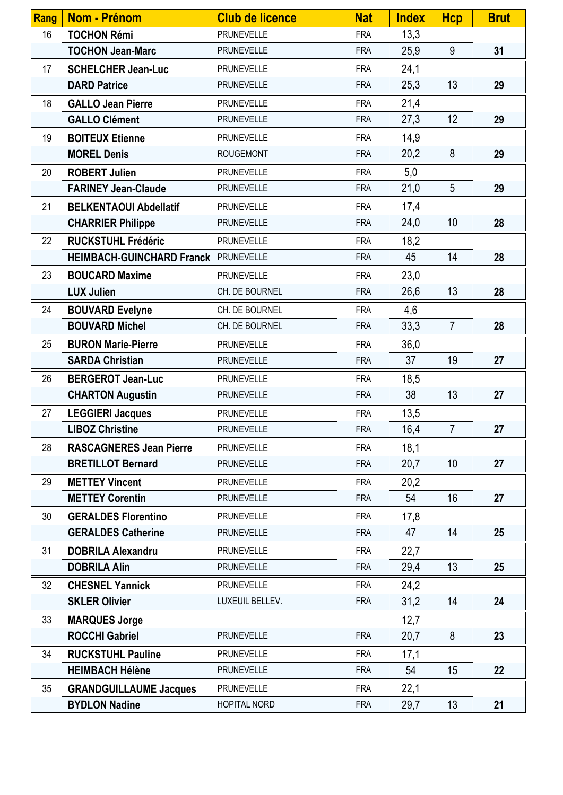| <b>Rang</b>     | <b>Nom - Prénom</b>                  | <b>Club de licence</b> | <b>Nat</b> | <b>Index</b> | <b>Hcp</b>     | <b>Brut</b> |
|-----------------|--------------------------------------|------------------------|------------|--------------|----------------|-------------|
| 16              | <b>TOCHON Rémi</b>                   | PRUNEVELLE             | <b>FRA</b> | 13,3         |                |             |
|                 | <b>TOCHON Jean-Marc</b>              | <b>PRUNEVELLE</b>      | <b>FRA</b> | 25,9         | 9              | 31          |
| 17              | <b>SCHELCHER Jean-Luc</b>            | <b>PRUNEVELLE</b>      | <b>FRA</b> | 24,1         |                |             |
|                 | <b>DARD Patrice</b>                  | <b>PRUNEVELLE</b>      | <b>FRA</b> | 25,3         | 13             | 29          |
| 18              | <b>GALLO Jean Pierre</b>             | <b>PRUNEVELLE</b>      | <b>FRA</b> | 21,4         |                |             |
|                 | <b>GALLO Clément</b>                 | <b>PRUNEVELLE</b>      | <b>FRA</b> | 27,3         | 12             | 29          |
| 19              | <b>BOITEUX Etienne</b>               | <b>PRUNEVELLE</b>      | <b>FRA</b> | 14,9         |                |             |
|                 | <b>MOREL Denis</b>                   | <b>ROUGEMONT</b>       | <b>FRA</b> | 20,2         | 8              | 29          |
| 20              | <b>ROBERT Julien</b>                 | <b>PRUNEVELLE</b>      | <b>FRA</b> | 5,0          |                |             |
|                 | <b>FARINEY Jean-Claude</b>           | <b>PRUNEVELLE</b>      | <b>FRA</b> | 21,0         | $\overline{5}$ | 29          |
| 21              | <b>BELKENTAOUI Abdellatif</b>        | PRUNEVELLE             | <b>FRA</b> | 17,4         |                |             |
|                 | <b>CHARRIER Philippe</b>             | <b>PRUNEVELLE</b>      | <b>FRA</b> | 24,0         | 10             | 28          |
| 22              | <b>RUCKSTUHL Frédéric</b>            | PRUNEVELLE             | <b>FRA</b> | 18,2         |                |             |
|                 | HEIMBACH-GUINCHARD Franck PRUNEVELLE |                        | <b>FRA</b> | 45           | 14             | 28          |
| 23              | <b>BOUCARD Maxime</b>                | <b>PRUNEVELLE</b>      | <b>FRA</b> | 23,0         |                |             |
|                 | <b>LUX Julien</b>                    | CH. DE BOURNEL         | <b>FRA</b> | 26,6         | 13             | 28          |
| 24              | <b>BOUVARD Evelyne</b>               | CH. DE BOURNEL         | <b>FRA</b> | 4,6          |                |             |
|                 | <b>BOUVARD Michel</b>                | CH. DE BOURNEL         | <b>FRA</b> | 33,3         | $\overline{7}$ | 28          |
| 25              | <b>BURON Marie-Pierre</b>            | <b>PRUNEVELLE</b>      | <b>FRA</b> | 36,0         |                |             |
|                 | <b>SARDA Christian</b>               | PRUNEVELLE             | <b>FRA</b> | 37           | 19             | 27          |
| 26              | <b>BERGEROT Jean-Luc</b>             | <b>PRUNEVELLE</b>      | <b>FRA</b> | 18,5         |                |             |
|                 | <b>CHARTON Augustin</b>              | <b>PRUNEVELLE</b>      | <b>FRA</b> | 38           | 13             | 27          |
| 27              | <b>LEGGIERI Jacques</b>              | PRUNEVELLE             | <b>FRA</b> | 13,5         |                |             |
|                 | <b>LIBOZ Christine</b>               | PRUNEVELLE             | <b>FRA</b> | 16,4         | $\overline{7}$ | 27          |
| 28              | <b>RASCAGNERES Jean Pierre</b>       | <b>PRUNEVELLE</b>      | <b>FRA</b> | 18,1         |                |             |
|                 | <b>BRETILLOT Bernard</b>             | <b>PRUNEVELLE</b>      | <b>FRA</b> | 20,7         | 10             | 27          |
| 29              | <b>METTEY Vincent</b>                | <b>PRUNEVELLE</b>      | <b>FRA</b> | 20,2         |                |             |
|                 | <b>METTEY Corentin</b>               | <b>PRUNEVELLE</b>      | <b>FRA</b> | 54           | 16             | 27          |
| 30              | <b>GERALDES Florentino</b>           | <b>PRUNEVELLE</b>      | <b>FRA</b> | 17,8         |                |             |
|                 | <b>GERALDES Catherine</b>            | <b>PRUNEVELLE</b>      | <b>FRA</b> | 47           | 14             | 25          |
| 31              | <b>DOBRILA Alexandru</b>             | <b>PRUNEVELLE</b>      | <b>FRA</b> | 22,7         |                |             |
|                 | <b>DOBRILA Alin</b>                  | <b>PRUNEVELLE</b>      | <b>FRA</b> | 29,4         | 13             | 25          |
| 32 <sup>2</sup> | <b>CHESNEL Yannick</b>               | <b>PRUNEVELLE</b>      | <b>FRA</b> | 24,2         |                |             |
|                 | <b>SKLER Olivier</b>                 | LUXEUIL BELLEV.        | <b>FRA</b> | 31,2         | 14             | 24          |
| 33              | <b>MARQUES Jorge</b>                 |                        |            | 12,7         |                |             |
|                 | <b>ROCCHI Gabriel</b>                | <b>PRUNEVELLE</b>      | <b>FRA</b> | 20,7         | 8              | 23          |
| 34              | <b>RUCKSTUHL Pauline</b>             | <b>PRUNEVELLE</b>      | <b>FRA</b> | 17,1         |                |             |
|                 | <b>HEIMBACH Hélène</b>               | <b>PRUNEVELLE</b>      | <b>FRA</b> | 54           | 15             | 22          |
| 35              | <b>GRANDGUILLAUME Jacques</b>        | <b>PRUNEVELLE</b>      | <b>FRA</b> | 22,1         |                |             |
|                 | <b>BYDLON Nadine</b>                 | HOPITAL NORD           | <b>FRA</b> | 29,7         | 13             | 21          |